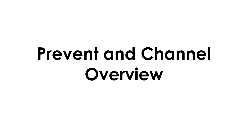# **Prevent and Channel Overview**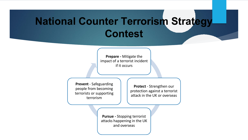## **National Counter Terrorism Strategy Contest**

**Prepare -** Mitigate the impact of a terrorist incident if it occurs

**Prevent** - Safeguarding people from becoming terrorists or supporting terrorism

**Protect** - Strengthen our protection against a terrorist attack in the UK or overseas

**Pursue -** Stopping terrorist attacks happening in the UK and overseas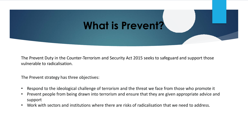

The Prevent Duty in the Counter-Terrorism and Security Act 2015 seeks to safeguard and support those vulnerable to radicalisation.

The Prevent strategy has three objectives:

- Respond to the ideological challenge of terrorism and the threat we face from those who promote it
- Prevent people from being drawn into terrorism and ensure that they are given appropriate advice and support
- Work with sectors and institutions where there are risks of radicalisation that we need to address.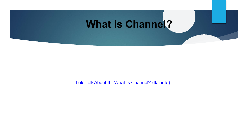

Lets Talk About It - What Is Channel? (Itai.info)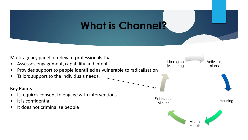## **What is Channel?**

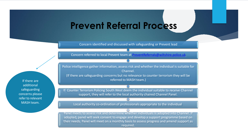### **Prevent Referral Process**

Concern identified and discussed with safeguarding or Prevent lead

Concern referred to local Prevent team at [PreventReferrals@wiltshire.police.uk](mailto:PreventReferrals@wiltshire.police.uk)

Police intelligence gather information, assess risk and whether the individual is suitable for Channel.

(If there are safeguarding concerns but no relevance to counter terrorism they will be referred to MASH team.)

If Counter Terrorism Policing South West deem the individual suitable to receive Channel support, they will refer to the local authority chaired Channel Panel.

Local authority co-ordination of professionals appropriate to the individual

Panel meets to assess risk and determine whether individuals is adopted into Channel. If adopted, panel will seek consent to engage and develop a support programme based on their needs. Panel will meet on a monthly basis to assess progress and amend support as required.

If there are additional safeguarding concerns please refer to relevant MASH team.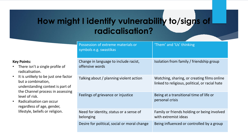### **How might I identify vulnerability to/signs of radicalisation?**

#### **Key Points:**

- There isn't a single profile of radicalisation.
- It is unlikely to be just one factor but a combination, understanding context is part of the Channel process in assessing level of risk.
- Radicalisation can occur regardless of age, gender, lifestyle, beliefs or religion.

| Possession of extreme materials or<br>symbols e.g. swastikas | 'Them' and 'Us' thinking                                                                      |
|--------------------------------------------------------------|-----------------------------------------------------------------------------------------------|
| Change in language to include racist,<br>offensive words     | Isolation from family / friendship group                                                      |
| Talking about / planning violent action                      | Watching, sharing, or creating films online<br>linked to religious, political, or racial hate |
| Feelings of grievance or injustice                           | Being at a transitional time of life or<br>personal crisis                                    |
| Need for identity, status or a sense of<br>belonging         | Family or friends holding or being involved<br>with extremist ideas                           |
| Desire for political, social or moral change                 | Being influenced or controlled by a group                                                     |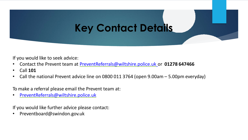## **Key Contact Details**

If you would like to seek advice:

- Contact the Prevent team at [PreventReferrals@wiltshire.police.uk](mailto:PreventReferrals@wiltshire.police.uk) or **01278 647466**
- Call **101**
- Call the national Prevent advice line on 0800 011 3764 (open 9.00am 5.00pm everyday)

To make a referral please email the Prevent team at:

• [PreventReferrals@wiltshire.police.uk](mailto:PreventReferrals@wiltshire.police.uk)

If you would like further advice please contact:

• Preventboard@swindon.gov.uk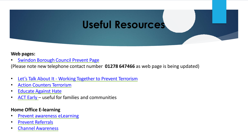## **Useful Resources**

#### **Web pages:**

**[Swindon](https://www.swindon-csp.org.uk/info/9/swindon_csp/13/the_prevent_duty_safeguarding_from_radicalisation) Borough Council Prevent Page** 

(Please note new telephone contact number **01278 647466** as web page is being updated)

- Let's Talk About It Working Together to Prevent [Terrorism](https://www.ltai.info/)
- Action Counters [Terrorism](https://act.campaign.gov.uk/)
- [Educate](https://educateagainsthate.com/) Against Hate
- ACT [Early](https://actearly.uk/) useful for families and communities

#### **Home Office E-learning**

- Prevent [awareness](https://www.elearning.prevent.homeoffice.gov.uk/edu/screen1.html) eLearning
- Prevent [Referrals](https://www.elearning.prevent.homeoffice.gov.uk/prevent_referrals/01-welcome.html)
- Channel [Awareness](https://www.elearning.prevent.homeoffice.gov.uk/channel_awareness/01-welcome.html)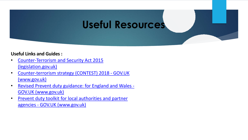### **Useful Resources**

#### **Useful Links and Guides :**

- [Counter-Terrorism and Security Act 2015](https://www.legislation.gov.uk/ukpga/2015/6/contents/enacted) (legislation.gov.uk)
- [Counter-terrorism strategy \(CONTEST\) 2018 -](https://www.gov.uk/government/publications/counter-terrorism-strategy-contest-2018) GOV.UK (www.gov.uk)
- [Revised Prevent duty guidance: for England and Wales -](https://www.gov.uk/government/publications/prevent-duty-guidance/revised-prevent-duty-guidance-for-england-and-wales) GOV.UK (www.gov.uk)
- Prevent duty toolkit for local authorities and partner agencies - GOV.UK (www.gov.uk)